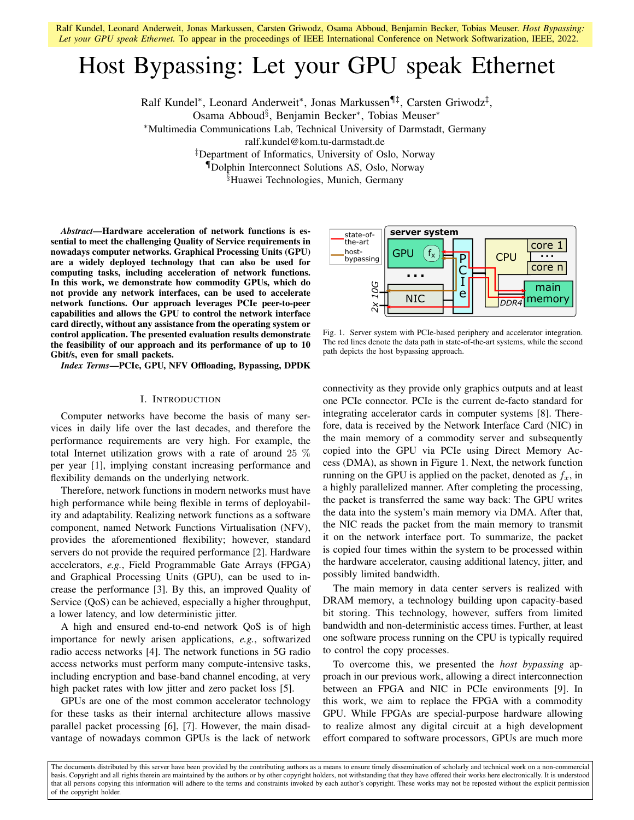# Host Bypassing: Let your GPU speak Ethernet

Ralf Kundel\*, Leonard Anderweit\*, Jonas Markussen¶‡, Carsten Griwodz<sup>‡</sup>,

Osama Abboud§ , Benjamin Becker<sup>∗</sup> , Tobias Meuser<sup>∗</sup>

<sup>∗</sup>Multimedia Communications Lab, Technical University of Darmstadt, Germany

ralf.kundel@kom.tu-darmstadt.de

‡Department of Informatics, University of Oslo, Norway

¶Dolphin Interconnect Solutions AS, Oslo, Norway

§Huawei Technologies, Munich, Germany

*Abstract*—Hardware acceleration of network functions is essential to meet the challenging Quality of Service requirements in nowadays computer networks. Graphical Processing Units (GPU) are a widely deployed technology that can also be used for computing tasks, including acceleration of network functions. In this work, we demonstrate how commodity GPUs, which do not provide any network interfaces, can be used to accelerate network functions. Our approach leverages PCIe peer-to-peer capabilities and allows the GPU to control the network interface card directly, without any assistance from the operating system or control application. The presented evaluation results demonstrate the feasibility of our approach and its performance of up to 10 Gbit/s, even for small packets.

*Index Terms*—PCIe, GPU, NFV Offloading, Bypassing, DPDK

## I. INTRODUCTION

Computer networks have become the basis of many services in daily life over the last decades, and therefore the performance requirements are very high. For example, the total Internet utilization grows with a rate of around 25 % per year [1], implying constant increasing performance and flexibility demands on the underlying network.

Therefore, network functions in modern networks must have high performance while being flexible in terms of deployability and adaptability. Realizing network functions as a software component, named Network Functions Virtualisation (NFV), provides the aforementioned flexibility; however, standard servers do not provide the required performance [2]. Hardware accelerators, *e.g.*, Field Programmable Gate Arrays (FPGA) and Graphical Processing Units (GPU), can be used to increase the performance [3]. By this, an improved Quality of Service (QoS) can be achieved, especially a higher throughput, a lower latency, and low deterministic jitter.

A high and ensured end-to-end network QoS is of high importance for newly arisen applications, *e.g.*, softwarized radio access networks [4]. The network functions in 5G radio access networks must perform many compute-intensive tasks, including encryption and base-band channel encoding, at very high packet rates with low jitter and zero packet loss [5].

GPUs are one of the most common accelerator technology for these tasks as their internal architecture allows massive parallel packet processing [6], [7]. However, the main disadvantage of nowadays common GPUs is the lack of network



Fig. 1. Server system with PCIe-based periphery and accelerator integration. The red lines denote the data path in state-of-the-art systems, while the second path depicts the host bypassing approach.

connectivity as they provide only graphics outputs and at least one PCIe connector. PCIe is the current de-facto standard for integrating accelerator cards in computer systems [8]. Therefore, data is received by the Network Interface Card (NIC) in the main memory of a commodity server and subsequently copied into the GPU via PCIe using Direct Memory Access (DMA), as shown in Figure 1. Next, the network function running on the GPU is applied on the packet, denoted as  $f_x$ , in a highly parallelized manner. After completing the processing, the packet is transferred the same way back: The GPU writes the data into the system's main memory via DMA. After that, the NIC reads the packet from the main memory to transmit it on the network interface port. To summarize, the packet is copied four times within the system to be processed within the hardware accelerator, causing additional latency, jitter, and possibly limited bandwidth.

The main memory in data center servers is realized with DRAM memory, a technology building upon capacity-based bit storing. This technology, however, suffers from limited bandwidth and non-deterministic access times. Further, at least one software process running on the CPU is typically required to control the copy processes.

To overcome this, we presented the *host bypassing* approach in our previous work, allowing a direct interconnection between an FPGA and NIC in PCIe environments [9]. In this work, we aim to replace the FPGA with a commodity GPU. While FPGAs are special-purpose hardware allowing to realize almost any digital circuit at a high development effort compared to software processors, GPUs are much more

The documents distributed by this server have been provided by the contributing authors as a means to ensure timely dissemination of scholarly and technical work on a non-commercial basis. Copyright and all rights therein are maintained by the authors or by other copyright holders, not withstanding that they have offered their works here electronically. It is understood that all persons copying this information will adhere to the terms and constraints invoked by each author's copyright. These works may not be reposted without the explicit permission of the copyright holder.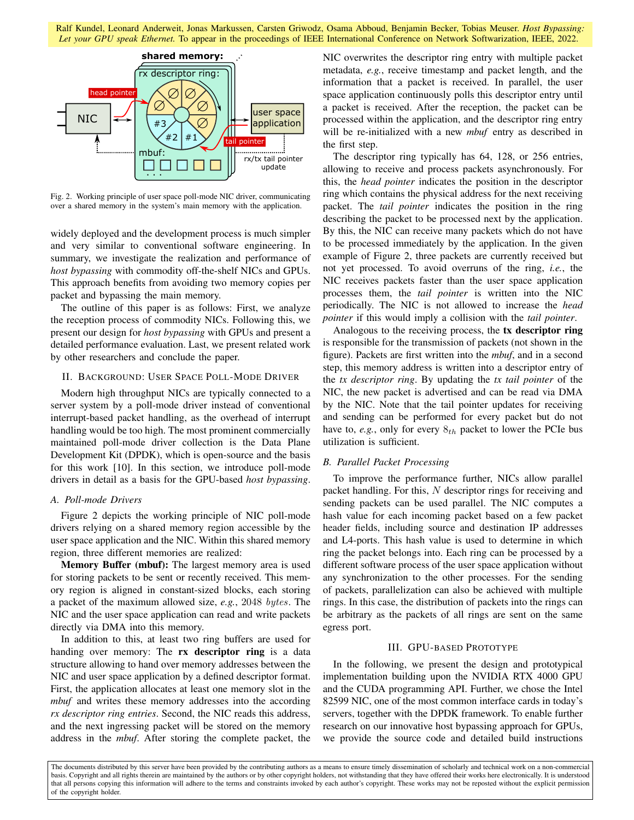

Fig. 2. Working principle of user space poll-mode NIC driver, communicating over a shared memory in the system's main memory with the application.

widely deployed and the development process is much simpler and very similar to conventional software engineering. In summary, we investigate the realization and performance of *host bypassing* with commodity off-the-shelf NICs and GPUs. This approach benefits from avoiding two memory copies per packet and bypassing the main memory.

The outline of this paper is as follows: First, we analyze the reception process of commodity NICs. Following this, we present our design for *host bypassing* with GPUs and present a detailed performance evaluation. Last, we present related work by other researchers and conclude the paper.

# II. BACKGROUND: USER SPACE POLL-MODE DRIVER

Modern high throughput NICs are typically connected to a server system by a poll-mode driver instead of conventional interrupt-based packet handling, as the overhead of interrupt handling would be too high. The most prominent commercially maintained poll-mode driver collection is the Data Plane Development Kit (DPDK), which is open-source and the basis for this work [10]. In this section, we introduce poll-mode drivers in detail as a basis for the GPU-based *host bypassing*.

## *A. Poll-mode Drivers*

Figure 2 depicts the working principle of NIC poll-mode drivers relying on a shared memory region accessible by the user space application and the NIC. Within this shared memory region, three different memories are realized:

Memory Buffer (mbuf): The largest memory area is used for storing packets to be sent or recently received. This memory region is aligned in constant-sized blocks, each storing a packet of the maximum allowed size, *e.g.*, 2048 bytes. The NIC and the user space application can read and write packets directly via DMA into this memory.

In addition to this, at least two ring buffers are used for handing over memory: The **rx descriptor ring** is a data structure allowing to hand over memory addresses between the NIC and user space application by a defined descriptor format. First, the application allocates at least one memory slot in the *mbuf* and writes these memory addresses into the according *rx descriptor ring entries*. Second, the NIC reads this address, and the next ingressing packet will be stored on the memory address in the *mbuf*. After storing the complete packet, the NIC overwrites the descriptor ring entry with multiple packet metadata, *e.g.*, receive timestamp and packet length, and the information that a packet is received. In parallel, the user space application continuously polls this descriptor entry until a packet is received. After the reception, the packet can be processed within the application, and the descriptor ring entry will be re-initialized with a new *mbuf* entry as described in the first step.

The descriptor ring typically has 64, 128, or 256 entries, allowing to receive and process packets asynchronously. For this, the *head pointer* indicates the position in the descriptor ring which contains the physical address for the next receiving packet. The *tail pointer* indicates the position in the ring describing the packet to be processed next by the application. By this, the NIC can receive many packets which do not have to be processed immediately by the application. In the given example of Figure 2, three packets are currently received but not yet processed. To avoid overruns of the ring, *i.e.*, the NIC receives packets faster than the user space application processes them, the *tail pointer* is written into the NIC periodically. The NIC is not allowed to increase the *head pointer* if this would imply a collision with the *tail pointer*.

Analogous to the receiving process, the tx descriptor ring is responsible for the transmission of packets (not shown in the figure). Packets are first written into the *mbuf*, and in a second step, this memory address is written into a descriptor entry of the *tx descriptor ring*. By updating the *tx tail pointer* of the NIC, the new packet is advertised and can be read via DMA by the NIC. Note that the tail pointer updates for receiving and sending can be performed for every packet but do not have to,  $e.g.,$  only for every  $8<sub>th</sub>$  packet to lower the PCIe bus utilization is sufficient.

# *B. Parallel Packet Processing*

To improve the performance further, NICs allow parallel packet handling. For this, N descriptor rings for receiving and sending packets can be used parallel. The NIC computes a hash value for each incoming packet based on a few packet header fields, including source and destination IP addresses and L4-ports. This hash value is used to determine in which ring the packet belongs into. Each ring can be processed by a different software process of the user space application without any synchronization to the other processes. For the sending of packets, parallelization can also be achieved with multiple rings. In this case, the distribution of packets into the rings can be arbitrary as the packets of all rings are sent on the same egress port.

# III. GPU-BASED PROTOTYPE

In the following, we present the design and prototypical implementation building upon the NVIDIA RTX 4000 GPU and the CUDA programming API. Further, we chose the Intel 82599 NIC, one of the most common interface cards in today's servers, together with the DPDK framework. To enable further research on our innovative host bypassing approach for GPUs, we provide the source code and detailed build instructions

The documents distributed by this server have been provided by the contributing authors as a means to ensure timely dissemination of scholarly and technical work on a non-commercial basis. Copyright and all rights therein are maintained by the authors or by other copyright holders, not withstanding that they have offered their works here electronically. It is understood that all persons copying this information will adhere to the terms and constraints invoked by each author's copyright. These works may not be reposted without the explicit permission of the copyright holder.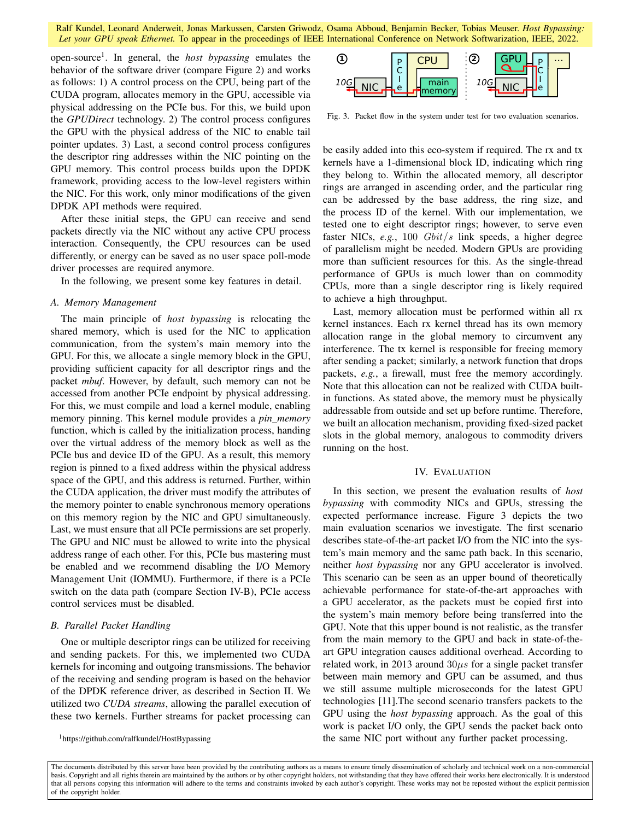open-source<sup>1</sup> . In general, the *host bypassing* emulates the behavior of the software driver (compare Figure 2) and works as follows: 1) A control process on the CPU, being part of the CUDA program, allocates memory in the GPU, accessible via physical addressing on the PCIe bus. For this, we build upon the *GPUDirect* technology. 2) The control process configures the GPU with the physical address of the NIC to enable tail pointer updates. 3) Last, a second control process configures the descriptor ring addresses within the NIC pointing on the GPU memory. This control process builds upon the DPDK framework, providing access to the low-level registers within the NIC. For this work, only minor modifications of the given DPDK API methods were required.

After these initial steps, the GPU can receive and send packets directly via the NIC without any active CPU process interaction. Consequently, the CPU resources can be used differently, or energy can be saved as no user space poll-mode driver processes are required anymore.

In the following, we present some key features in detail.

## *A. Memory Management*

The main principle of *host bypassing* is relocating the shared memory, which is used for the NIC to application communication, from the system's main memory into the GPU. For this, we allocate a single memory block in the GPU, providing sufficient capacity for all descriptor rings and the packet *mbuf*. However, by default, such memory can not be accessed from another PCIe endpoint by physical addressing. For this, we must compile and load a kernel module, enabling memory pinning. This kernel module provides a *pin memory* function, which is called by the initialization process, handing over the virtual address of the memory block as well as the PCIe bus and device ID of the GPU. As a result, this memory region is pinned to a fixed address within the physical address space of the GPU, and this address is returned. Further, within the CUDA application, the driver must modify the attributes of the memory pointer to enable synchronous memory operations on this memory region by the NIC and GPU simultaneously. Last, we must ensure that all PCIe permissions are set properly. The GPU and NIC must be allowed to write into the physical address range of each other. For this, PCIe bus mastering must be enabled and we recommend disabling the I/O Memory Management Unit (IOMMU). Furthermore, if there is a PCIe switch on the data path (compare Section IV-B), PCIe access control services must be disabled.

## *B. Parallel Packet Handling*

One or multiple descriptor rings can be utilized for receiving and sending packets. For this, we implemented two CUDA kernels for incoming and outgoing transmissions. The behavior of the receiving and sending program is based on the behavior of the DPDK reference driver, as described in Section II. We utilized two *CUDA streams*, allowing the parallel execution of these two kernels. Further streams for packet processing can

<sup>1</sup>https://github.com/ralfkundel/HostBypassing



Fig. 3. Packet flow in the system under test for two evaluation scenarios.

be easily added into this eco-system if required. The rx and tx kernels have a 1-dimensional block ID, indicating which ring they belong to. Within the allocated memory, all descriptor rings are arranged in ascending order, and the particular ring can be addressed by the base address, the ring size, and the process ID of the kernel. With our implementation, we tested one to eight descriptor rings; however, to serve even faster NICs, *e.g.*, 100 Gbit/s link speeds, a higher degree of parallelism might be needed. Modern GPUs are providing more than sufficient resources for this. As the single-thread performance of GPUs is much lower than on commodity CPUs, more than a single descriptor ring is likely required to achieve a high throughput.

Last, memory allocation must be performed within all rx kernel instances. Each rx kernel thread has its own memory allocation range in the global memory to circumvent any interference. The tx kernel is responsible for freeing memory after sending a packet; similarly, a network function that drops packets, *e.g.*, a firewall, must free the memory accordingly. Note that this allocation can not be realized with CUDA builtin functions. As stated above, the memory must be physically addressable from outside and set up before runtime. Therefore, we built an allocation mechanism, providing fixed-sized packet slots in the global memory, analogous to commodity drivers running on the host.

#### IV. EVALUATION

In this section, we present the evaluation results of *host bypassing* with commodity NICs and GPUs, stressing the expected performance increase. Figure 3 depicts the two main evaluation scenarios we investigate. The first scenario describes state-of-the-art packet I/O from the NIC into the system's main memory and the same path back. In this scenario, neither *host bypassing* nor any GPU accelerator is involved. This scenario can be seen as an upper bound of theoretically achievable performance for state-of-the-art approaches with a GPU accelerator, as the packets must be copied first into the system's main memory before being transferred into the GPU. Note that this upper bound is not realistic, as the transfer from the main memory to the GPU and back in state-of-theart GPU integration causes additional overhead. According to related work, in 2013 around  $30\mu s$  for a single packet transfer between main memory and GPU can be assumed, and thus we still assume multiple microseconds for the latest GPU technologies [11].The second scenario transfers packets to the GPU using the *host bypassing* approach. As the goal of this work is packet I/O only, the GPU sends the packet back onto the same NIC port without any further packet processing.

The documents distributed by this server have been provided by the contributing authors as a means to ensure timely dissemination of scholarly and technical work on a non-commercial basis. Copyright and all rights therein are maintained by the authors or by other copyright holders, not withstanding that they have offered their works here electronically. It is understood that all persons copying this information will adhere to the terms and constraints invoked by each author's copyright. These works may not be reposted without the explicit permission of the copyright holder.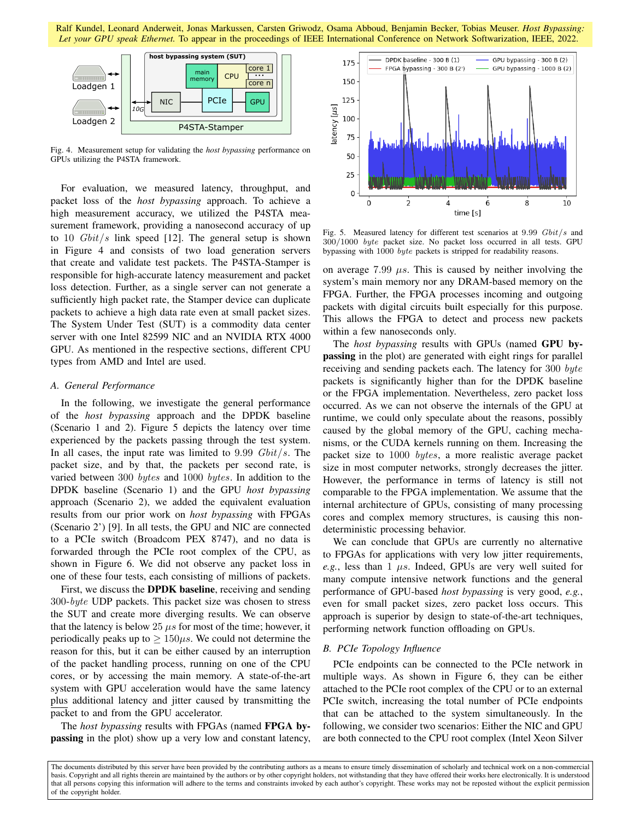

Fig. 4. Measurement setup for validating the *host bypassing* performance on GPUs utilizing the P4STA framework.

For evaluation, we measured latency, throughput, and packet loss of the *host bypassing* approach. To achieve a high measurement accuracy, we utilized the P4STA measurement framework, providing a nanosecond accuracy of up to 10  $Gbit/s$  link speed [12]. The general setup is shown in Figure 4 and consists of two load generation servers that create and validate test packets. The P4STA-Stamper is responsible for high-accurate latency measurement and packet loss detection. Further, as a single server can not generate a sufficiently high packet rate, the Stamper device can duplicate packets to achieve a high data rate even at small packet sizes. The System Under Test (SUT) is a commodity data center server with one Intel 82599 NIC and an NVIDIA RTX 4000 GPU. As mentioned in the respective sections, different CPU types from AMD and Intel are used.

# *A. General Performance*

In the following, we investigate the general performance of the *host bypassing* approach and the DPDK baseline (Scenario 1 and 2). Figure 5 depicts the latency over time experienced by the packets passing through the test system. In all cases, the input rate was limited to  $9.99 \; Gbit/s$ . The packet size, and by that, the packets per second rate, is varied between 300 bytes and 1000 bytes. In addition to the DPDK baseline (Scenario 1) and the GPU *host bypassing* approach (Scenario 2), we added the equivalent evaluation results from our prior work on *host bypassing* with FPGAs (Scenario 2') [9]. In all tests, the GPU and NIC are connected to a PCIe switch (Broadcom PEX 8747), and no data is forwarded through the PCIe root complex of the CPU, as shown in Figure 6. We did not observe any packet loss in one of these four tests, each consisting of millions of packets.

First, we discuss the DPDK baseline, receiving and sending 300-byte UDP packets. This packet size was chosen to stress the SUT and create more diverging results. We can observe that the latency is below 25  $\mu s$  for most of the time; however, it periodically peaks up to  $> 150 \mu s$ . We could not determine the reason for this, but it can be either caused by an interruption of the packet handling process, running on one of the CPU cores, or by accessing the main memory. A state-of-the-art system with GPU acceleration would have the same latency plus additional latency and jitter caused by transmitting the packet to and from the GPU accelerator.

The *host bypassing* results with FPGAs (named FPGA bypassing in the plot) show up a very low and constant latency,



Fig. 5. Measured latency for different test scenarios at 9.99 Gbit/s and 300/1000 byte packet size. No packet loss occurred in all tests. GPU bypassing with 1000 byte packets is stripped for readability reasons.

on average 7.99  $\mu s$ . This is caused by neither involving the system's main memory nor any DRAM-based memory on the FPGA. Further, the FPGA processes incoming and outgoing packets with digital circuits built especially for this purpose. This allows the FPGA to detect and process new packets within a few nanoseconds only.

The *host bypassing* results with GPUs (named GPU bypassing in the plot) are generated with eight rings for parallel receiving and sending packets each. The latency for 300 byte packets is significantly higher than for the DPDK baseline or the FPGA implementation. Nevertheless, zero packet loss occurred. As we can not observe the internals of the GPU at runtime, we could only speculate about the reasons, possibly caused by the global memory of the GPU, caching mechanisms, or the CUDA kernels running on them. Increasing the packet size to 1000 bytes, a more realistic average packet size in most computer networks, strongly decreases the jitter. However, the performance in terms of latency is still not comparable to the FPGA implementation. We assume that the internal architecture of GPUs, consisting of many processing cores and complex memory structures, is causing this nondeterministic processing behavior.

We can conclude that GPUs are currently no alternative to FPGAs for applications with very low jitter requirements, *e.g.*, less than 1  $\mu$ s. Indeed, GPUs are very well suited for many compute intensive network functions and the general performance of GPU-based *host bypassing* is very good, *e.g.*, even for small packet sizes, zero packet loss occurs. This approach is superior by design to state-of-the-art techniques, performing network function offloading on GPUs.

# *B. PCIe Topology Influence*

PCIe endpoints can be connected to the PCIe network in multiple ways. As shown in Figure 6, they can be either attached to the PCIe root complex of the CPU or to an external PCIe switch, increasing the total number of PCIe endpoints that can be attached to the system simultaneously. In the following, we consider two scenarios: Either the NIC and GPU are both connected to the CPU root complex (Intel Xeon Silver

The documents distributed by this server have been provided by the contributing authors as a means to ensure timely dissemination of scholarly and technical work on a non-commercial basis. Copyright and all rights therein are maintained by the authors or by other copyright holders, not withstanding that they have offered their works here electronically. It is understood that all persons copying this information will adhere to the terms and constraints invoked by each author's copyright. These works may not be reposted without the explicit permission of the copyright holder.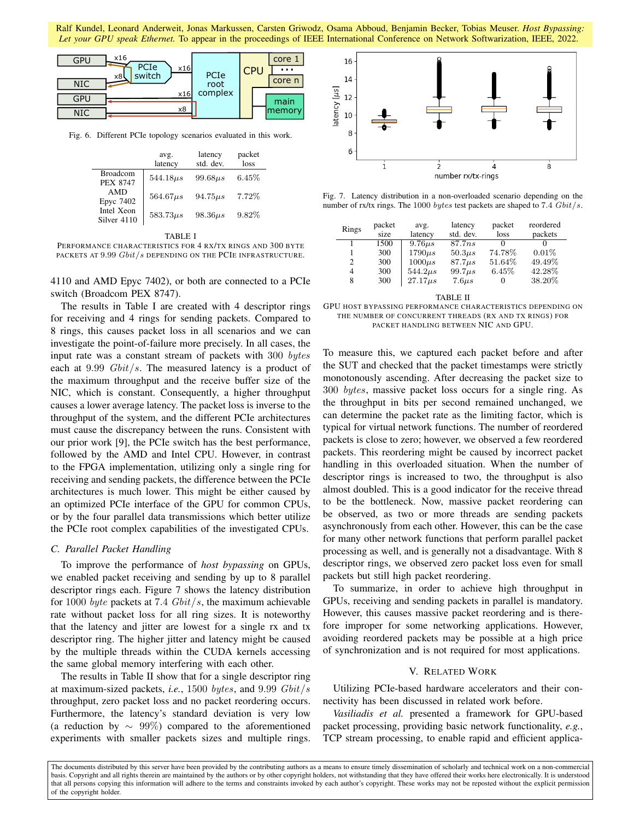

Fig. 6. Different PCIe topology scenarios evaluated in this work.

|                                                      | avg.<br>latency | latency<br>std. dev. | packet<br>loss |
|------------------------------------------------------|-----------------|----------------------|----------------|
| <b>Broadcom</b><br><b>PEX 8747</b>                   | $544.18\mu s$   | $99.68\mu s$         | $6.45\%$       |
| <b>AMD</b><br>Epyc 7402<br>Intel Xeon<br>Silver 4110 | $564.67\mu s$   | $94.75\mu s$         | 7.72%          |
|                                                      | $583.73\mu s$   | $98.36\mu s$         | 9.82%          |

TABLE I

PERFORMANCE CHARACTERISTICS FOR 4 RX/TX RINGS AND 300 BYTE PACKETS AT 9.99 Gbit/s DEPENDING ON THE PCIE INFRASTRUCTURE.

4110 and AMD Epyc 7402), or both are connected to a PCIe switch (Broadcom PEX 8747).

The results in Table I are created with 4 descriptor rings for receiving and 4 rings for sending packets. Compared to 8 rings, this causes packet loss in all scenarios and we can investigate the point-of-failure more precisely. In all cases, the input rate was a constant stream of packets with 300 bytes each at  $9.99 \; Gbit/s$ . The measured latency is a product of the maximum throughput and the receive buffer size of the NIC, which is constant. Consequently, a higher throughput causes a lower average latency. The packet loss is inverse to the throughput of the system, and the different PCIe architectures must cause the discrepancy between the runs. Consistent with our prior work [9], the PCIe switch has the best performance, followed by the AMD and Intel CPU. However, in contrast to the FPGA implementation, utilizing only a single ring for receiving and sending packets, the difference between the PCIe architectures is much lower. This might be either caused by an optimized PCIe interface of the GPU for common CPUs, or by the four parallel data transmissions which better utilize the PCIe root complex capabilities of the investigated CPUs.

### *C. Parallel Packet Handling*

To improve the performance of *host bypassing* on GPUs, we enabled packet receiving and sending by up to 8 parallel descriptor rings each. Figure 7 shows the latency distribution for 1000 byte packets at 7.4  $Gbit/s$ , the maximum achievable rate without packet loss for all ring sizes. It is noteworthy that the latency and jitter are lowest for a single rx and tx descriptor ring. The higher jitter and latency might be caused by the multiple threads within the CUDA kernels accessing the same global memory interfering with each other.

The results in Table II show that for a single descriptor ring at maximum-sized packets, *i.e.*, 1500 bytes, and 9.99 Gbit/s throughput, zero packet loss and no packet reordering occurs. Furthermore, the latency's standard deviation is very low (a reduction by  $\sim 99\%$ ) compared to the aforementioned experiments with smaller packets sizes and multiple rings.



Fig. 7. Latency distribution in a non-overloaded scenario depending on the number of rx/tx rings. The 1000 bytes test packets are shaped to 7.4 Gbit/s.

| Rings | packet<br>size | avg.<br>latency | latency<br>std. dev. | packet<br>loss    | reordered<br>packets |
|-------|----------------|-----------------|----------------------|-------------------|----------------------|
|       | 1500           | $9.76\mu s$     | 87.7 <i>ns</i>       | $\mathbf{\Omega}$ |                      |
|       | 300            | $1790\mu s$     | $50.3\mu s$          | 74.78%            | 0.01%                |
| 2     | 300            | $1000\mu s$     | $87.7\mu s$          | 51.64%            | 49.49%               |
| 4     | 300            | $544.2\mu s$    | 99.7 <sub>µs</sub>   | 6.45%             | 42.28%               |
| 8     | 300            | $27.17 \mu s$   | $7.6 \mu s$          | $\mathbf{0}$      | 38.20%               |

TABLE II

GPU HOST BYPASSING PERFORMANCE CHARACTERISTICS DEPENDING ON THE NUMBER OF CONCURRENT THREADS (RX AND TX RINGS) FOR PACKET HANDLING BETWEEN NIC AND GPU.

To measure this, we captured each packet before and after the SUT and checked that the packet timestamps were strictly monotonously ascending. After decreasing the packet size to 300 bytes, massive packet loss occurs for a single ring. As the throughput in bits per second remained unchanged, we can determine the packet rate as the limiting factor, which is typical for virtual network functions. The number of reordered packets is close to zero; however, we observed a few reordered packets. This reordering might be caused by incorrect packet handling in this overloaded situation. When the number of descriptor rings is increased to two, the throughput is also almost doubled. This is a good indicator for the receive thread to be the bottleneck. Now, massive packet reordering can be observed, as two or more threads are sending packets asynchronously from each other. However, this can be the case for many other network functions that perform parallel packet processing as well, and is generally not a disadvantage. With 8 descriptor rings, we observed zero packet loss even for small packets but still high packet reordering.

To summarize, in order to achieve high throughput in GPUs, receiving and sending packets in parallel is mandatory. However, this causes massive packet reordering and is therefore improper for some networking applications. However, avoiding reordered packets may be possible at a high price of synchronization and is not required for most applications.

# V. RELATED WORK

Utilizing PCIe-based hardware accelerators and their connectivity has been discussed in related work before.

*Vasiliadis et al.* presented a framework for GPU-based packet processing, providing basic network functionality, *e.g.*, TCP stream processing, to enable rapid and efficient applica-

The documents distributed by this server have been provided by the contributing authors as a means to ensure timely dissemination of scholarly and technical work on a non-commercial basis. Copyright and all rights therein are maintained by the authors or by other copyright holders, not withstanding that they have offered their works here electronically. It is understood that all persons copying this information will adhere to the terms and constraints invoked by each author's copyright. These works may not be reposted without the explicit permission of the copyright holder.